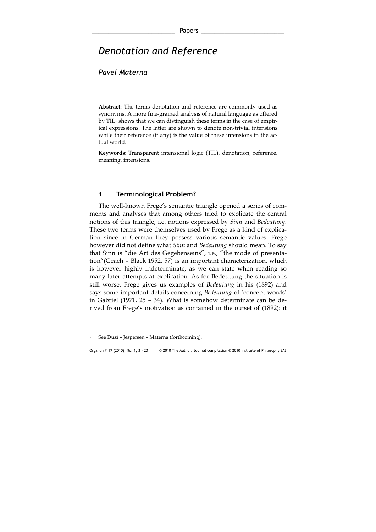# Denotation and Reference

## Pavel Materna

Abstract: The terms denotation and reference are commonly used as synonyms. A more fine-grained analysis of natural language as offered by TIL<sup>1</sup> shows that we can distinguish these terms in the case of empirical expressions. The latter are shown to denote non-trivial intensions while their reference (if any) is the value of these intensions in the actual world.

Keywords: Transparent intensional logic (TIL), denotation, reference, meaning, intensions.

### 1 Terminological Problem?

 The well-known Frege's semantic triangle opened a series of comments and analyses that among others tried to explicate the central notions of this triangle, i.e. notions expressed by Sinn and Bedeutung. These two terms were themselves used by Frege as a kind of explication since in German they possess various semantic values. Frege however did not define what Sinn and Bedeutung should mean. To say that Sinn is "die Art des Gegebenseins", i.e., "the mode of presentation"(Geach – Black 1952, 57) is an important characterization, which is however highly indeterminate, as we can state when reading so many later attempts at explication. As for Bedeutung the situation is still worse. Frege gives us examples of Bedeutung in his (1892) and says some important details concerning Bedeutung of 'concept words' in Gabriel (1971, 25 – 34). What is somehow determinate can be derived from Frege's motivation as contained in the outset of (1892): it

See Duží – Jespersen – Materna (forthcoming).

Organon F 17 (2010), No. 1, 3 – 20 © 2010 The Author. Journal compilation © 2010 Institute of Philosophy SAS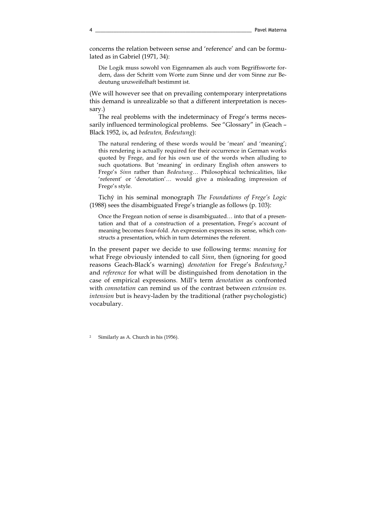concerns the relation between sense and 'reference' and can be formulated as in Gabriel (1971, 34):

Die Logik muss sowohl von Eigennamen als auch vom Begriffsworte fordern, dass der Schritt vom Worte zum Sinne und der vom Sinne zur Bedeutung unzweifelhaft bestimmt ist.

(We will however see that on prevailing contemporary interpretations this demand is unrealizable so that a different interpretation is necessary.)

 The real problems with the indeterminacy of Frege's terms necessarily influenced terminological problems. See "Glossary" in (Geach – Black 1952, ix, ad bedeuten, Bedeutung):

The natural rendering of these words would be 'mean' and 'meaning'; this rendering is actually required for their occurrence in German works quoted by Frege, and for his own use of the words when alluding to such quotations. But 'meaning' in ordinary English often answers to Frege's Sinn rather than Bedeutung… Philosophical technicalities, like 'referent' or 'denotation'… would give a misleading impression of Frege's style.

 Tichý in his seminal monograph The Foundations of Frege's Logic (1988) sees the disambiguated Frege's triangle as follows (p. 103):

Once the Fregean notion of sense is disambiguated… into that of a presentation and that of a construction of a presentation, Frege's account of meaning becomes four-fold. An expression expresses its sense, which constructs a presentation, which in turn determines the referent.

In the present paper we decide to use following terms: meaning for what Frege obviously intended to call Sinn, then (ignoring for good reasons Geach-Black's warning) denotation for Frege's Bedeutung,<sup>2</sup> and reference for what will be distinguished from denotation in the case of empirical expressions. Mill's term denotation as confronted with connotation can remind us of the contrast between extension vs. intension but is heavy-laden by the traditional (rather psychologistic) vocabulary.

Similarly as A. Church in his (1956).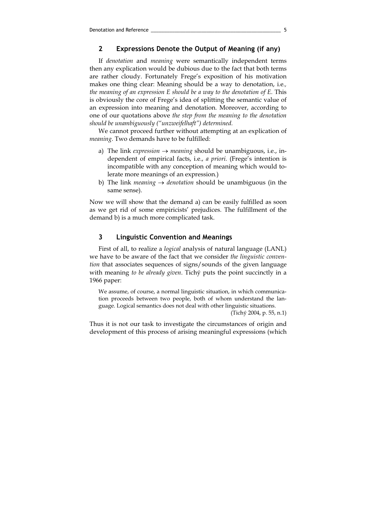### 2 Expressions Denote the Output of Meaning (if any)

 If denotation and meaning were semantically independent terms then any explication would be dubious due to the fact that both terms are rather cloudy. Fortunately Frege's exposition of his motivation makes one thing clear: Meaning should be a way to denotation, i.e., the meaning of an expression E should be a way to the denotation of E. This is obviously the core of Frege's idea of splitting the semantic value of an expression into meaning and denotation. Moreover, according to one of our quotations above the step from the meaning to the denotation should be unambiguously ("unzweifelhaft") determined.

 We cannot proceed further without attempting at an explication of meaning. Two demands have to be fulfilled:

- a) The link *expression*  $\rightarrow$  *meaning* should be unambiguous, i.e., independent of empirical facts, i.e., a priori. (Frege's intention is incompatible with any conception of meaning which would tolerate more meanings of an expression.)
- b) The link *meaning*  $\rightarrow$  *denotation* should be unambiguous (in the same sense).

Now we will show that the demand a) can be easily fulfilled as soon as we get rid of some empiricists' prejudices. The fulfillment of the demand b) is a much more complicated task.

### 3 Linguistic Convention and Meanings

 First of all, to realize a logical analysis of natural language (LANL) we have to be aware of the fact that we consider the linguistic convention that associates sequences of signs/sounds of the given language with meaning to be already given. Tichý puts the point succinctly in a 1966 paper:

We assume, of course, a normal linguistic situation, in which communication proceeds between two people, both of whom understand the language. Logical semantics does not deal with other linguistic situations.

(Tichý 2004, p. 55, n.1)

Thus it is not our task to investigate the circumstances of origin and development of this process of arising meaningful expressions (which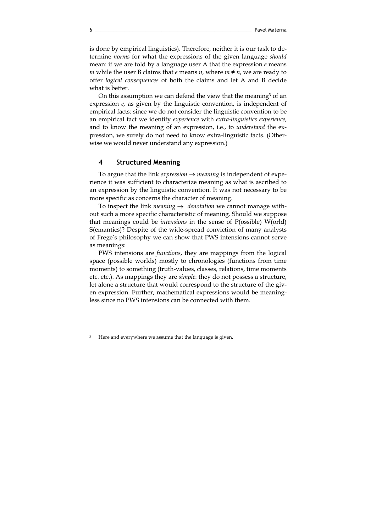is done by empirical linguistics). Therefore, neither it is our task to determine norms for what the expressions of the given language should mean: if we are told by a language user A that the expression  $e$  means m while the user B claims that e means n, where  $m \neq n$ , we are ready to offer logical consequences of both the claims and let A and B decide what is better.

On this assumption we can defend the view that the meaning<sup>3</sup> of an expression e, as given by the linguistic convention, is independent of empirical facts: since we do not consider the linguistic convention to be an empirical fact we identify experience with extra-linguistics experience, and to know the meaning of an expression, i.e., to understand the expression, we surely do not need to know extra-linguistic facts. (Otherwise we would never understand any expression.)

### 4 Structured Meaning

To argue that the link *expression*  $\rightarrow$  *meaning* is independent of experience it was sufficient to characterize meaning as what is ascribed to an expression by the linguistic convention. It was not necessary to be more specific as concerns the character of meaning.

To inspect the link *meaning*  $\rightarrow$  *denotation* we cannot manage without such a more specific characteristic of meaning. Should we suppose that meanings could be intensions in the sense of P(ossible) W(orld) S(emantics)? Despite of the wide-spread conviction of many analysts of Frege's philosophy we can show that PWS intensions cannot serve as meanings:

PWS intensions are functions, they are mappings from the logical space (possible worlds) mostly to chronologies (functions from time moments) to something (truth-values, classes, relations, time moments etc. etc.). As mappings they are simple: they do not possess a structure, let alone a structure that would correspond to the structure of the given expression. Further, mathematical expressions would be meaningless since no PWS intensions can be connected with them.

Here and everywhere we assume that the language is given.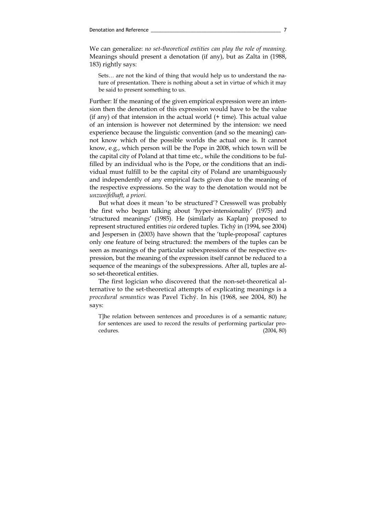We can generalize: no set-theoretical entities can play the role of meaning. Meanings should present a denotation (if any), but as Zalta in (1988, 183) rightly says:

Sets… are not the kind of thing that would help us to understand the nature of presentation. There is nothing about a set in virtue of which it may be said to present something to us.

Further: If the meaning of the given empirical expression were an intension then the denotation of this expression would have to be the value (if any) of that intension in the actual world  $(+)$  time). This actual value of an intension is however not determined by the intension: we need experience because the linguistic convention (and so the meaning) cannot know which of the possible worlds the actual one is. It cannot know, e.g., which person will be the Pope in 2008, which town will be the capital city of Poland at that time etc., while the conditions to be fulfilled by an individual who is the Pope, or the conditions that an individual must fulfill to be the capital city of Poland are unambiguously and independently of any empirical facts given due to the meaning of the respective expressions. So the way to the denotation would not be unzweifelhaft, a priori.

 But what does it mean 'to be structured'? Cresswell was probably the first who began talking about 'hyper-intensionality' (1975) and 'structured meanings' (1985). He (similarly as Kaplan) proposed to represent structured entities via ordered tuples. Tichý in (1994, see 2004) and Jespersen in (2003) have shown that the 'tuple-proposal' captures only one feature of being structured: the members of the tuples can be seen as meanings of the particular subexpressions of the respective expression, but the meaning of the expression itself cannot be reduced to a sequence of the meanings of the subexpressions. After all, tuples are also set-theoretical entities.

 The first logician who discovered that the non-set-theoretical alternative to the set-theoretical attempts of explicating meanings is a procedural semantics was Pavel Tichý. In his (1968, see 2004, 80) he says:

T]he relation between sentences and procedures is of a semantic nature; for sentences are used to record the results of performing particular procedures. (2004, 80)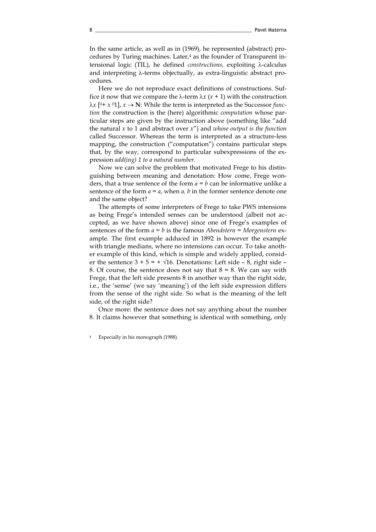In the same article, as well as in (1969), he represented (abstract) procedures by Turing machines. Later,<sup>4</sup> as the founder of Transparent intensional logic (TIL), he defined constructions, exploiting λ-calculus and interpreting λ-terms objectually, as extra-linguistic abstract procedures.

Here we do not reproduce exact definitions of constructions. Suffice it now that we compare the  $\lambda$ -term  $\lambda x$  ( $x + 1$ ) with the construction  $λx$  [<sup>0</sup>+ *x* <sup>0</sup>1], *x* → **N**: While the term is interpreted as the Successor *func*tion the construction is the (here) algorithmic computation whose particular steps are given by the instruction above (something like "add the natural x to 1 and abstract over  $x''$ ) and whose output is the function called Successor. Whereas the term is interpreted as a structure-less mapping, the construction ("computation") contains particular steps that, by the way, correspond to particular subexpressions of the expression add(ing) 1 to a natural number.

 Now we can solve the problem that motivated Frege to his distinguishing between meaning and denotation: How come, Frege wonders, that a true sentence of the form  $a = b$  can be informative unlike a sentence of the form  $a = a$ , when a, b in the former sentence denote one and the same object?

 The attempts of some interpreters of Frege to take PWS intensions as being Frege's intended senses can be understood (albeit not accepted, as we have shown above) since one of Frege's examples of sentences of the form  $a = b$  is the famous Abendstern = Morgenstern example. The first example adduced in 1892 is however the example with triangle medians, where no intensions can occur. To take another example of this kind, which is simple and widely applied, consider the sentence  $3 + 5 = + \sqrt{16}$ . Denotations: Left side – 8, right side – 8. Of course, the sentence does not say that  $8 = 8$ . We can say with Frege, that the left side presents 8 in another way than the right side, i.e., the 'sense' (we say 'meaning') of the left side expression differs from the sense of the right side. So what is the meaning of the left side, of the right side?

Once more: the sentence does not say anything about the number 8. It claims however that something is identical with something, only

Especially in his monograph (1988).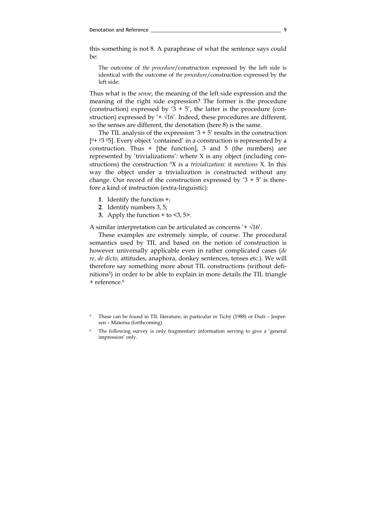this something is not 8. A paraphrase of what the sentence says could be:

The outcome of the procedure/construction expressed by the left side is identical with the outcome of the procedure/construction expressed by the left side.

Thus what is the sense, the meaning of the left side expression and the meaning of the right side expression? The former is the procedure (construction) expressed by '3 + 5', the latter is the procedure (construction) expressed by  $4 + \sqrt{16'}$ . Indeed, these procedures are different, so the senses are different, the denotation (here 8) is the same.

The TIL analysis of the expression  $3 + 5'$  results in the construction  $[0+ 03 05]$ . Every object 'contained' in a construction is represented by a construction. Thus  $+$  [the function], 3 and 5 (the numbers) are represented by 'trivializations': where X is any object (including constructions) the construction  $\alpha$  is a *trivialization*: it *mentions* X. In this way the object under a trivialization is constructed without any change. Our record of the construction expressed by  $3 + 5'$  is therefore a kind of instruction (extra-linguistic):

- 1. Identify the function +;
- 2. Identify numbers 3, 5;
- 3. Apply the function  $+$  to  $<$ 3, 5 $>$ .

A similar interpretation can be articulated as concerns '+  $\sqrt{16'}$ .

 These examples are extremely simple, of course. The procedural semantics used by TIL and based on the notion of construction is however universally applicable even in rather complicated cases (de re, de dicto, attitudes, anaphora, donkey sentences, tenses etc.). We will therefore say something more about TIL constructions (without definitions<sup>5</sup>) in order to be able to explain in more details the TIL triangle + reference.<sup>6</sup>

<sup>5</sup> These can be found in TIL literature, in particular in Tichý (1988) or Duží – Jespersen – Materna (forthcoming).

The following survey is only fragmentary information serving to give a 'general impression' only.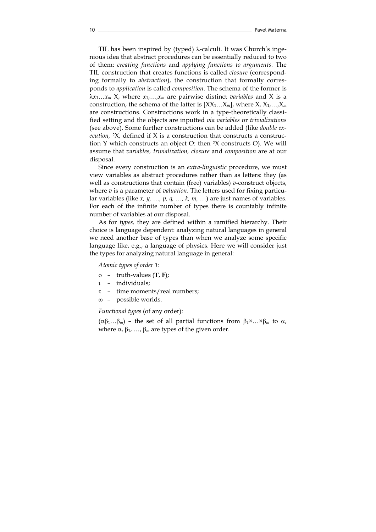TIL has been inspired by (typed) λ-calculi. It was Church's ingenious idea that abstract procedures can be essentially reduced to two of them: creating functions and applying functions to arguments. The TIL construction that creates functions is called closure (corresponding formally to abstraction), the construction that formally corresponds to application is called composition. The schema of the former is  $\lambda x_1 \ldots x_m$  X, where  $x_1, \ldots, x_m$  are pairwise distinct variables and X is a construction, the schema of the latter is  $[XX_1...X_m]$ , where  $X, X_1,...,X_m$ are constructions. Constructions work in a type-theoretically classified setting and the objects are inputted via variables or trivializations (see above). Some further constructions can be added (like double execution,  $2X$ , defined if X is a construction that constructs a construction Y which constructs an object O: then <sup>2</sup>X constructs O). We will assume that variables, trivialization, closure and composition are at our disposal.

 Since every construction is an extra-linguistic procedure, we must view variables as abstract procedures rather than as letters: they (as well as constructions that contain (free) variables)  $v$ -construct objects, where  $v$  is a parameter of *valuation*. The letters used for fixing particular variables (like  $x, y, ..., p, q, ..., k, m, ...)$  are just names of variables. For each of the infinite number of types there is countably infinite number of variables at our disposal.

 As for types, they are defined within a ramified hierarchy. Their choice is language dependent: analyzing natural languages in general we need another base of types than when we analyze some specific language like, e.g., a language of physics. Here we will consider just the types for analyzing natural language in general:

Atomic types of order 1:

- ο truth-values (T, F);
- ι individuals;
- τ time moments/real numbers;
- ω possible worlds.

Functional types (of any order):

 $(\alpha\beta_1...\beta_m)$  – the set of all partial functions from  $\beta_1 \times ... \times \beta_m$  to  $\alpha$ , where  $\alpha$ ,  $\beta_1$ , ...,  $\beta_m$  are types of the given order.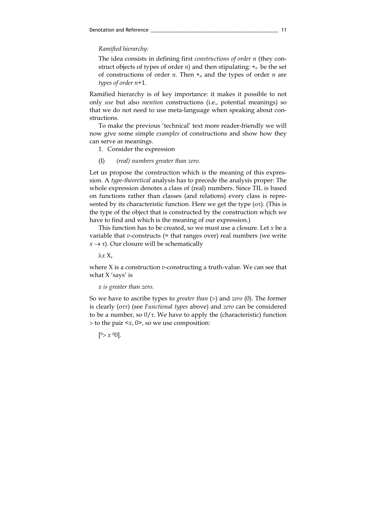Ramified hierarchy:

The idea consists in defining first constructions of order n (they construct objects of types of order *n*) and then stipulating:  $*_n$  be the set of constructions of order *n*. Then  $*_n$  and the types of order *n* are types of order n+1.

Ramified hierarchy is of key importance: it makes it possible to not only use but also mention constructions (i.e., potential meanings) so that we do not need to use meta-language when speaking about constructions.

 To make the previous 'technical' text more reader-friendly we will now give some simple examples of constructions and show how they can serve as meanings.

1. Consider the expression

(I) (real) numbers greater than zero.

Let us propose the construction which is the meaning of this expression. A type-theoretical analysis has to precede the analysis proper: The whole expression denotes a class of (real) numbers. Since TIL is based on functions rather than classes (and relations) every class is represented by its characteristic function. Here we get the type (οτ). (This is the type of the object that is constructed by the construction which we have to find and which is the meaning of our expression.)

This function has to be created, so we must use a closure. Let  $x$  be a variable that  $v$ -constructs (= that ranges over) real numbers (we write  $x \rightarrow \tau$ ). Our closure will be schematically

λx X,

where  $X$  is a construction *v*-constructing a truth-value. We can see that what X 'says' is

x is greater than zero.

So we have to ascribe types to *greater than* (>) and *zero* (0). The former is clearly (οττ) (see Functional types above) and zero can be considered to be a number, so  $0/\tau$ . We have to apply the (characteristic) function  $>$  to the pair  $\langle x, 0 \rangle$ , so we use composition:

 $[0> x 00]$ .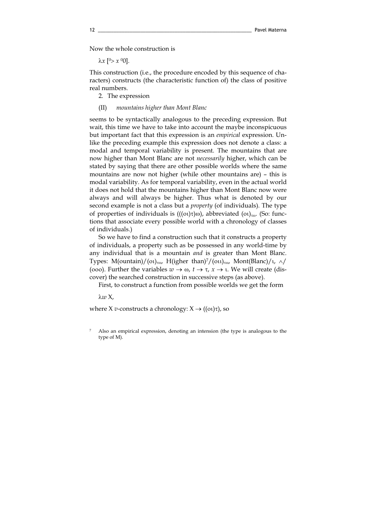Now the whole construction is

 $\lambda x$  [<sup>0</sup>>  $x$  <sup>0</sup>0].

This construction (i.e., the procedure encoded by this sequence of characters) constructs (the characteristic function of) the class of positive real numbers.

2. The expression

#### (II) mountains higher than Mont Blanc

seems to be syntactically analogous to the preceding expression. But wait, this time we have to take into account the maybe inconspicuous but important fact that this expression is an empirical expression. Unlike the preceding example this expression does not denote a class: a modal and temporal variability is present. The mountains that are now higher than Mont Blanc are not necessarily higher, which can be stated by saying that there are other possible worlds where the same mountains are now not higher (while other mountains are) – this is modal variability. As for temporal variability, even in the actual world it does not hold that the mountains higher than Mont Blanc now were always and will always be higher. Thus what is denoted by our second example is not a class but a property (of individuals). The type of properties of individuals is  $(((o_1)\tau)\omega)$ , abbreviated  $(o_1)_{\tau\omega}$ . (So: functions that associate every possible world with a chronology of classes of individuals.)

 So we have to find a construction such that it constructs a property of individuals, a property such as be possessed in any world-time by any individual that is a mountain and is greater than Mont Blanc. Types: M(ountain)/(οι)<sub>τω</sub>, H(igher than)<sup>7</sup>/(οιι)<sub>τω</sub>, Mont(Blanc)/ι,  $\land$ / (000). Further the variables  $w \to \omega$ ,  $t \to \tau$ ,  $x \to \tau$ . We will create (discover) the searched construction in successive steps (as above).

First, to construct a function from possible worlds we get the form

λw X,

where X v-constructs a chronology:  $X \rightarrow ((\alpha)\tau)$ , so

<sup>7</sup> Also an empirical expression, denoting an intension (the type is analogous to the type of M).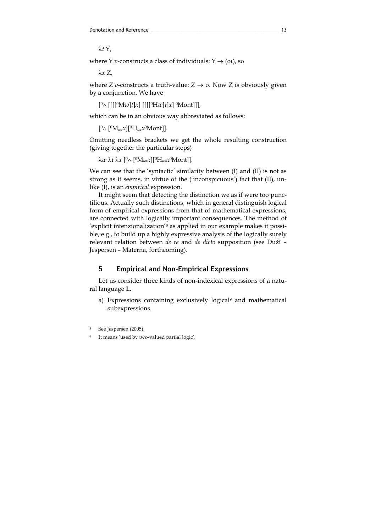λt Y,

where Y *v*-constructs a class of individuals:  $Y \rightarrow (0, 0)$ , so

λx Z,

where *Z v*-constructs a truth-value:  $Z \rightarrow o$ . Now *Z* is obviously given by a conjunction. We have

[<sup>0</sup>∧ [[[[<sup>0</sup>Mw]t]x] [[[[<sup>0</sup>Hw]t]x] <sup>0</sup>Mont]]],

which can be in an obvious way abbreviated as follows:

 $[{}^{0}\wedge [{}^{0}M_{wt}x][{}^{0}H_{wt}x{}^{0}Mont]].$ 

Omitting needless brackets we get the whole resulting construction (giving together the particular steps)

λw λt λx  $[<sup>0</sup>∧ [<sup>0</sup>M<sub>wt</sub>x][<sup>0</sup>H<sub>wt</sub>x<sup>0</sup>Mont]].$ 

We can see that the 'syntactic' similarity between (I) and (II) is not as strong as it seems, in virtue of the ('inconspicuous') fact that (II), unlike (I), is an empirical expression.

 It might seem that detecting the distinction we as if were too punctilious. Actually such distinctions, which in general distinguish logical form of empirical expressions from that of mathematical expressions, are connected with logically important consequences. The method of 'explicit intenzionalization'<sup>8</sup> as applied in our example makes it possible, e.g., to build up a highly expressive analysis of the logically surely relevant relation between de re and de dicto supposition (see Duží – Jespersen – Materna, forthcoming).

### 5 Empirical and Non-Empirical Expressions

 Let us consider three kinds of non-indexical expressions of a natural language L.

a) Expressions containing exclusively logical<sup>9</sup> and mathematical subexpressions.

<sup>8</sup> See Jespersen (2005).

It means 'used by two-valued partial logic'.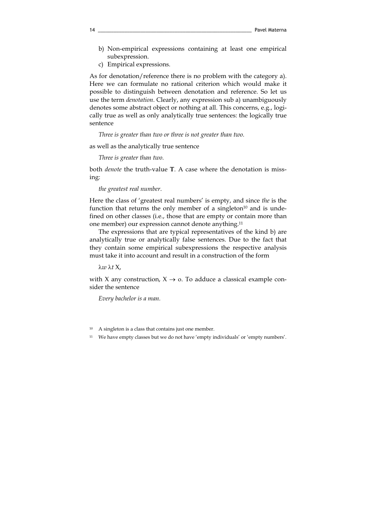- b) Non-empirical expressions containing at least one empirical subexpression.
- c) Empirical expressions.

As for denotation/reference there is no problem with the category a). Here we can formulate no rational criterion which would make it possible to distinguish between denotation and reference. So let us use the term denotation. Clearly, any expression sub a) unambiguously denotes some abstract object or nothing at all. This concerns, e.g., logically true as well as only analytically true sentences: the logically true sentence

Three is greater than two or three is not greater than two.

as well as the analytically true sentence

Three is greater than two.

both denote the truth-value T. A case where the denotation is missing:

the greatest real number.

Here the class of 'greatest real numbers' is empty, and since the is the function that returns the only member of a singleton $10$  and is undefined on other classes (i.e., those that are empty or contain more than one member) our expression cannot denote anything.<sup>11</sup>

 The expressions that are typical representatives of the kind b) are analytically true or analytically false sentences. Due to the fact that they contain some empirical subexpressions the respective analysis must take it into account and result in a construction of the form

λw λt X,

with X any construction,  $X \rightarrow o$ . To adduce a classical example consider the sentence

Every bachelor is a man.

<sup>10</sup> A singleton is a class that contains just one member.

<sup>11</sup> We have empty classes but we do not have 'empty individuals' or 'empty numbers'.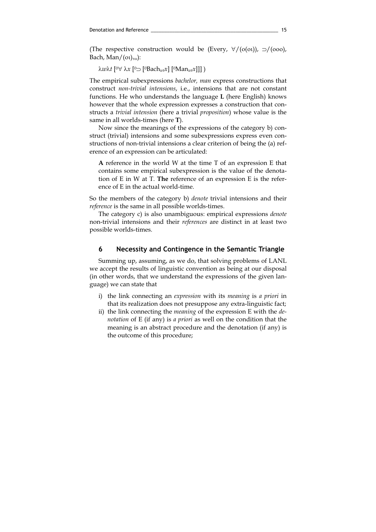(The respective construction would be (Every,  $\forall / (o(0\tau))$ ,  $\supset / (oo\tau)$ ), Bach, Man/ $(ot)_{\tau\omega}$ ):

 $\lambda w\lambda t$  [<sup>0</sup>∀ λx [<sup>0</sup>⊃ [<sup>0</sup>Bach<sub>wt</sub>x] [<sup>0</sup>Man<sub>wt</sub>x]]])

The empirical subexpressions bachelor, man express constructions that construct non-trivial intensions, i.e., intensions that are not constant functions. He who understands the language L (here English) knows however that the whole expression expresses a construction that constructs a trivial intension (here a trivial proposition) whose value is the same in all worlds-times (here T).

 Now since the meanings of the expressions of the category b) construct (trivial) intensions and some subexpressions express even constructions of non-trivial intensions a clear criterion of being the (a) reference of an expression can be articulated:

A reference in the world W at the time T of an expression E that contains some empirical subexpression is the value of the denotation of E in W at T. The reference of an expression E is the reference of E in the actual world-time.

So the members of the category b) denote trivial intensions and their reference is the same in all possible worlds-times.

 The category c) is also unambiguous: empirical expressions denote non-trivial intensions and their references are distinct in at least two possible worlds-times.

### 6 Necessity and Contingence in the Semantic Triangle

 Summing up, assuming, as we do, that solving problems of LANL we accept the results of linguistic convention as being at our disposal (in other words, that we understand the expressions of the given language) we can state that

- i) the link connecting an expression with its meaning is a priori in that its realization does not presuppose any extra-linguistic fact;
- ii) the link connecting the *meaning* of the expression E with the *de*notation of E (if any) is a priori as well on the condition that the meaning is an abstract procedure and the denotation (if any) is the outcome of this procedure;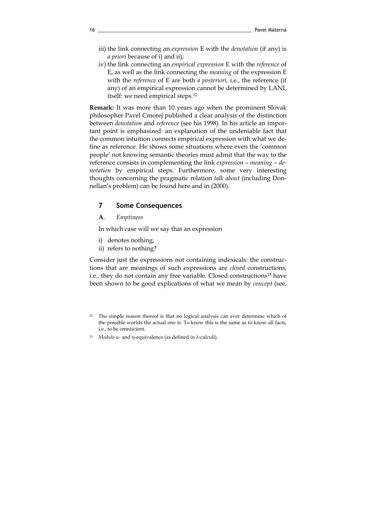- iii) the link connecting an expression E with the denotation (if any) is a priori because of i) and ii);
- iv) the link connecting an empirical expression E with the reference of E, as well as the link connecting the meaning of the expression E with the reference of E are both a posteriori, i.e., the reference (if any) of an empirical expression cannot be determined by LANL itself: we need empirical steps.<sup>12</sup>

Remark: It was more than 10 years ago when the prominent Slovak philosopher Pavel Cmorej published a clear analysis of the distinction between denotation and reference (see his 1998). In his article an important point is emphasized: an explanation of the undeniable fact that the common intuition connects empirical expression with what we define as reference. He shows some situations where even the 'common people' not knowing semantic theories must admit that the way to the reference consists in complementing the link expression – meaning – denotation by empirical steps. Furthermore, some very interesting thoughts concerning the pragmatic relation talk about (including Donnellan's problem) can be found here and in (2000).

### 7 Some Consequences

A. Emptiness

In which case will we say that an expression

- i) denotes nothing,
- ii) refers to nothing?

Consider just the expressions not containing indexicals: the constructions that are meanings of such expressions are closed constructions, i.e., they do not contain any free variable. Closed constructions<sup>13</sup> have been shown to be good explications of what we mean by concept (see,

- <sup>12</sup> The simple reason thereof is that no logical analysis can ever determine which of the possible worlds the actual one is. To know this is the same as to know all facts, i.e., to be omniscient.
- 13 *Modulo*  $\alpha$  and η-equivalence (as defined in  $\lambda$ -calculi).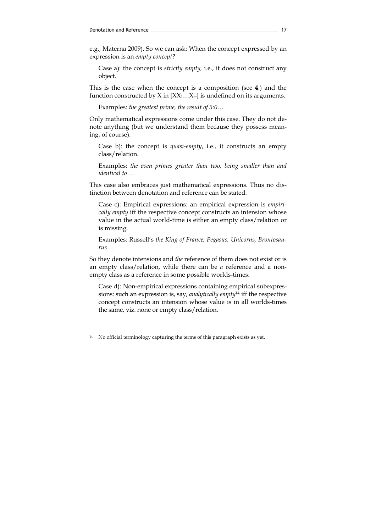e.g., Materna 2009). So we can ask: When the concept expressed by an expression is an empty concept?

Case a): the concept is strictly empty, i.e., it does not construct any object.

This is the case when the concept is a composition (see 4.) and the function constructed by X in  $[XX_1...X_m]$  is undefined on its arguments.

Examples: the greatest prime, the result of 5:0…

Only mathematical expressions come under this case. They do not denote anything (but we understand them because they possess meaning, of course).

Case b): the concept is quasi-empty, i.e., it constructs an empty class/relation.

Examples: the even primes greater than two, being smaller than and identical to…

This case also embraces just mathematical expressions. Thus no distinction between denotation and reference can be stated.

Case c): Empirical expressions: an empirical expression is empirically empty iff the respective concept constructs an intension whose value in the actual world-time is either an empty class/relation or is missing.

Examples: Russell's the King of France, Pegasus, Unicorns, Brontosaurus…

So they denote intensions and the reference of them does not exist or is an empty class/relation, while there can be a reference and a nonempty class as a reference in some possible worlds-times.

Case d): Non-empirical expressions containing empirical subexpressions: such an expression is, say, analytically empty<sup>14</sup> iff the respective concept constructs an intension whose value is in all worlds-times the same, viz. none or empty class/relation.

<sup>14</sup> No official terminology capturing the terms of this paragraph exists as yet.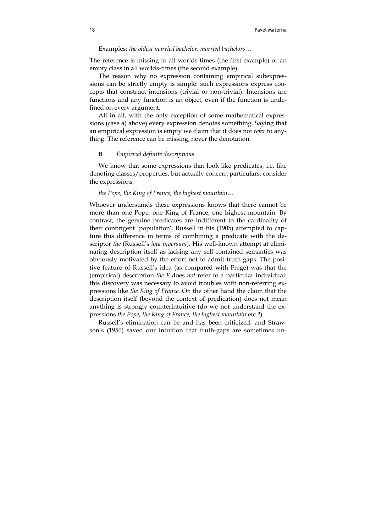Examples: the oldest married bachelor, married bachelors…

The reference is missing in all worlds-times (the first example) or an empty class in all worlds-times (the second example).

 The reason why no expression containing empirical subexpressions can be strictly empty is simple: such expressions express concepts that construct intensions (trivial or non-trivial). Intensions are functions and any function is an object, even if the function is undefined on every argument.

 All in all, with the only exception of some mathematical expressions (case a) above) every expression denotes something. Saying that an empirical expression is empty we claim that it does not refer to anything. The reference can be missing, never the denotation.

#### **B** Empirical definite descriptions

 We know that some expressions that look like predicates, i.e. like denoting classes/properties, but actually concern particulars: consider the expressions

#### the Pope, the King of France, the highest mountain…

Whoever understands these expressions knows that there cannot be more than one Pope, one King of France, one highest mountain. By contrast, the genuine predicates are indifferent to the cardinality of their contingent 'population'. Russell in his (1905) attempted to capture this difference in terms of combining a predicate with the descriptor the (Russell's iota inversum). His well-known attempt at eliminating description itself as lacking any self-contained semantics was obviously motivated by the effort not to admit truth-gaps. The positive feature of Russell's idea (as compared with Frege) was that the (empirical) description the F does not refer to a particular individual: this discovery was necessary to avoid troubles with non-referring expressions like the King of France. On the other hand the claim that the description itself (beyond the context of predication) does not mean anything is strongly counterintuitive (do we not understand the expressions the Pope, the King of France, the highest mountain etc.?).

Russell's elimination can be and has been criticized, and Strawson's (1950) saved our intuition that truth-gaps are sometimes un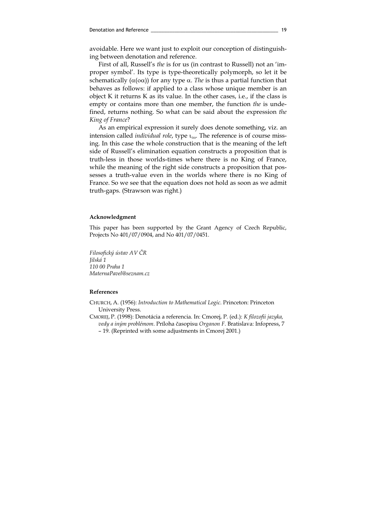avoidable. Here we want just to exploit our conception of distinguishing between denotation and reference.

 First of all, Russell's the is for us (in contrast to Russell) not an 'improper symbol'. Its type is type-theoretically polymorph, so let it be schematically ( $\alpha$ ( $\alpha$ a)) for any type  $\alpha$ . The is thus a partial function that behaves as follows: if applied to a class whose unique member is an object K it returns K as its value. In the other cases, i.e., if the class is empty or contains more than one member, the function the is undefined, returns nothing. So what can be said about the expression the King of France?

 As an empirical expression it surely does denote something, viz. an intension called *individual role*, type  $t_{\text{TO}}$ . The reference is of course missing. In this case the whole construction that is the meaning of the left side of Russell's elimination equation constructs a proposition that is truth-less in those worlds-times where there is no King of France, while the meaning of the right side constructs a proposition that possesses a truth-value even in the worlds where there is no King of France. So we see that the equation does not hold as soon as we admit truth-gaps. (Strawson was right.)

#### Acknowledgment

This paper has been supported by the Grant Agency of Czech Republic, Projects No 401/07/0904, and No 401/07/0451.

Filosofický ústav AV ČR Jilská 1 110 00 Praha 1 MaternaPavel@seznam.cz

#### References

CHURCH, A. (1956): Introduction to Mathematical Logic. Princeton: Princeton University Press.

CMOREJ, P. (1998): Denotácia a referencia. In: Cmorej, P. (ed.): K filozofii jazyka, vedy a iným problémom. Príloha časopisu Organon F. Bratislava: Infopress, 7

<sup>– 19. (</sup>Reprinted with some adjustments in Cmorej 2001.)